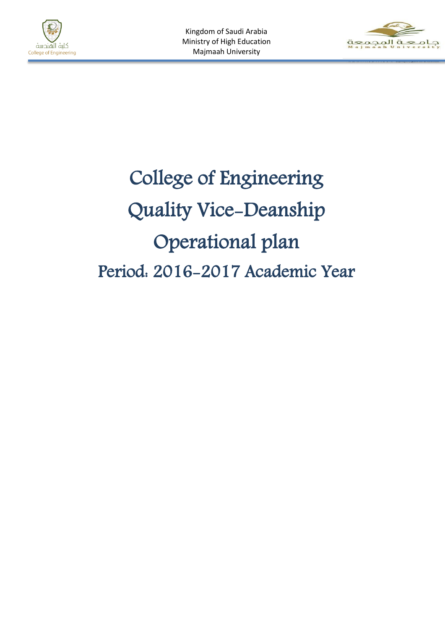



# College of Engineering Quality Vice-Deanship Operational plan Period: 2016-2017 Academic Year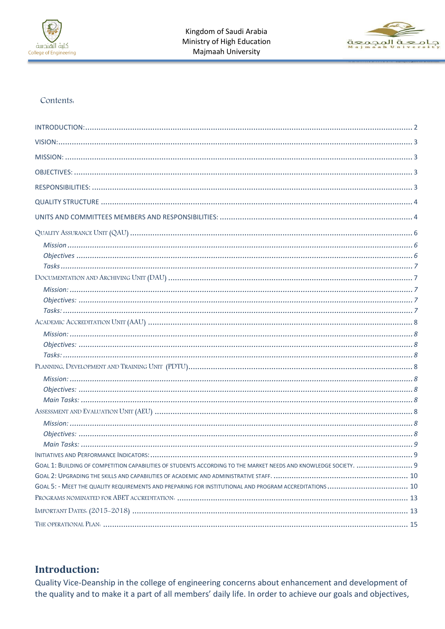



#### Contents.

| GOAL 5: - MEET THE QUALITY REQUIREMENTS AND PREPARING FOR INSTITUTIONAL AND PROGRAM ACCREDITATIONS  10 |
|--------------------------------------------------------------------------------------------------------|
|                                                                                                        |
|                                                                                                        |

## <span id="page-1-0"></span>**Introduction:**

Quality Vice-Deanship in the college of engineering concerns about enhancement and development of the quality and to make it a part of all members' daily life. In order to achieve our goals and objectives,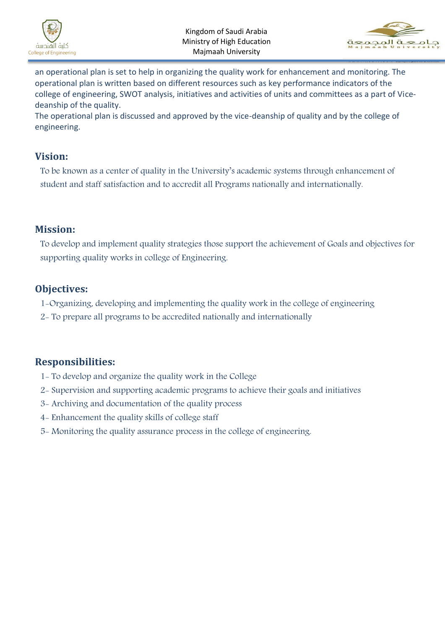



an operational plan is set to help in organizing the quality work for enhancement and monitoring. The operational plan is written based on different resources such as key performance indicators of the college of engineering, SWOT analysis, initiatives and activities of units and committees as a part of Vicedeanship of the quality.

The operational plan is discussed and approved by the vice-deanship of quality and by the college of engineering.

#### <span id="page-2-0"></span>**Vision:**

To be known as a center of quality in the University's academic systems through enhancement of student and staff satisfaction and to accredit all Programs nationally and internationally.

#### <span id="page-2-1"></span>**Mission:**

To develop and implement quality strategies those support the achievement of Goals and objectives for supporting quality works in college of Engineering.

## <span id="page-2-2"></span>**Objectives:**

- 1-Organizing, developing and implementing the quality work in the college of engineering
- 2- To prepare all programs to be accredited nationally and internationally

## <span id="page-2-3"></span>**Responsibilities:**

- 1- To develop and organize the quality work in the College
- 2- Supervision and supporting academic programs to achieve their goals and initiatives
- 3- Archiving and documentation of the quality process
- 4- Enhancement the quality skills of college staff
- 5- Monitoring the quality assurance process in the college of engineering.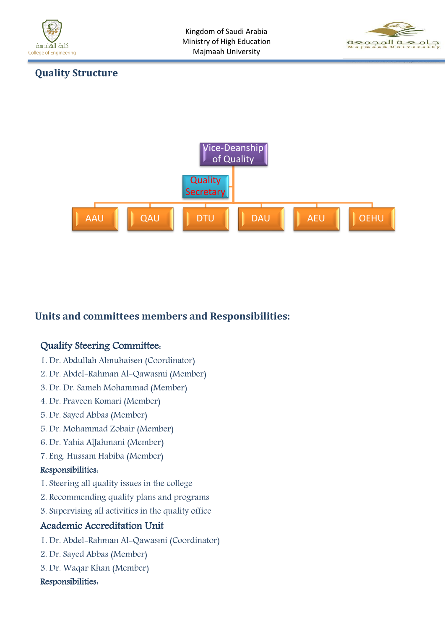



#### <span id="page-3-0"></span>**Quality Structure**



## <span id="page-3-1"></span>**Units and committees members and Responsibilities:**

#### Quality Steering Committee:

- 1. Dr. Abdullah Almuhaisen (Coordinator)
- 2. Dr. Abdel-Rahman Al-Qawasmi (Member)
- 3. Dr. Dr. Sameh Mohammad (Member)
- 4. Dr. Praveen Komari (Member)
- 5. Dr. Sayed Abbas (Member)
- 5. Dr. Mohammad Zobair (Member)
- 6. Dr. Yahia AlJahmani (Member)
- 7. Eng. Hussam Habiba (Member)

#### Responsibilities:

- 1. Steering all quality issues in the college
- 2. Recommending quality plans and programs
- 3. Supervising all activities in the quality office

#### Academic Accreditation Unit

- 1. Dr. Abdel-Rahman Al-Qawasmi (Coordinator)
- 2. Dr. Sayed Abbas (Member)
- 3. Dr. Waqar Khan (Member)

#### Responsibilities: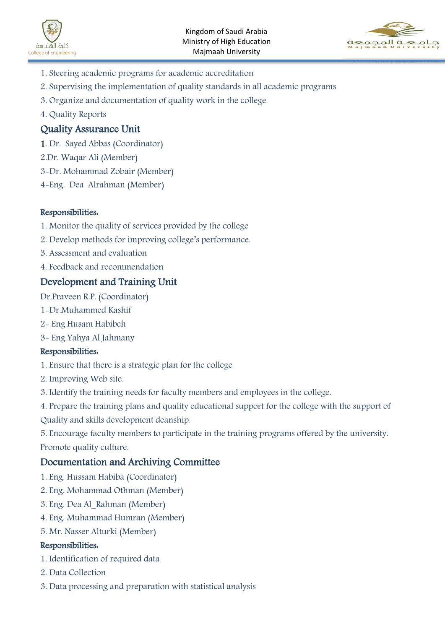



- 1. Steering academic programs for academic accreditation
- 2. Supervising the implementation of quality standards in all academic programs
- 3. Organize and documentation of quality work in the college
- 4. Quality Reports

#### Quality Assurance Unit

- 1. Dr. Sayed Abbas (Coordinator)
- 2.Dr. Waqar Ali (Member)
- 3-Dr. Mohammad Zobair (Member)
- 4-Eng. Dea Alrahman (Member)

#### Responsibilities:

- 1. Monitor the quality of services provided by the college
- 2. Develop methods for improving college's performance.
- 3. Assessment and evaluation
- 4. Feedback and recommendation

#### Development and Training Unit

Dr.Praveen R.P. (Coordinator)

- 1-Dr.Muhammed Kashif
- 2- Eng.Husam Habibeh
- 3- Eng.Yahya Al Jahmany

#### Responsibilities:

- 1. Ensure that there is a strategic plan for the college
- 2. Improving Web site.
- 3. Identify the training needs for faculty members and employees in the college.
- 4. Prepare the training plans and quality educational support for the college with the support of
- Quality and skills development deanship.

5. Encourage faculty members to participate in the training programs offered by the university. Promote quality culture.

#### Documentation and Archiving Committee

- 1. Eng. Hussam Habiba (Coordinator)
- 2. Eng. Mohammad Othman (Member)
- 3. Eng. Dea Al\_Rahman (Member)
- 4. Eng. Muhammad Humran (Member)
- 5. Mr. Nasser Alturki (Member)

#### Responsibilities:

- 1. Identification of required data
- 2. Data Collection
- 3. Data processing and preparation with statistical analysis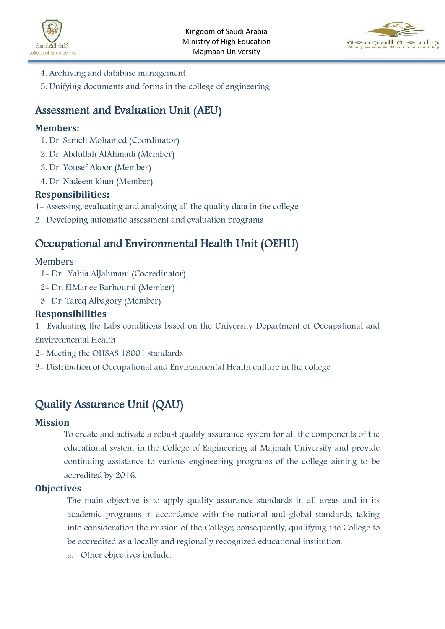



- 4. Archiving and database management
- 5. Unifying documents and forms in the college of engineering

## Assessment and Evaluation Unit (AEU)

#### **Members:**

- 1. Dr. Sameh Mohamed (Coordinator)
- 2. Dr. Abdullah AlAhmadi (Member)
- 3. Dr. Yousef Akoor (Member)
- 4. Dr. Nadeem khan (Member)

#### **Responsibilities:**

- 1- Assessing, evaluating and analyzing all the quality data in the college
- 2- Developing automatic assessment and evaluation programs

## Occupational and Environmental Health Unit (OEHU)

#### Members:

- 1- Dr. Yahia AlJahmani (Cooredinator)
- 2- Dr. ElManee Barhoumi (Member)
- 3- Dr. Tareq Albagory (Member)

#### **Responsibilities**

1- Evaluating the Labs conditions based on the University Department of Occupational and Environmental Health

- 2- Meeting the OHSAS 18001 standards
- 3- Distribution of Occupational and Environmental Health culture in the college

# <span id="page-5-0"></span>Quality Assurance Unit (QAU)

#### <span id="page-5-1"></span>**Mission**

To create and activate a robust quality assurance system for all the components of the educational system in the College of Engineering at Majmah University and provide continuing assistance to various engineering programs of the college aiming to be accredited by 2016.

#### <span id="page-5-2"></span>**Objectives**

The main objective is to apply quality assurance standards in all areas and in its academic programs in accordance with the national and global standards, taking into consideration the mission of the College; consequently, qualifying the College to be accredited as a locally and regionally recognized educational institution.

a. Other objectives include: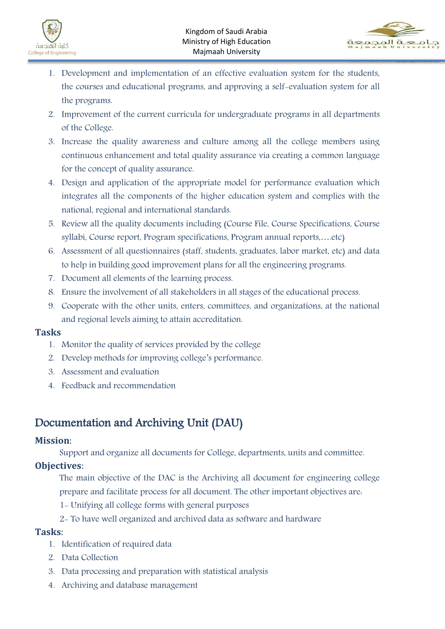



- 1. Development and implementation of an effective evaluation system for the students, the courses and educational programs, and approving a self-evaluation system for all the programs.
- 2. Improvement of the current curricula for undergraduate programs in all departments of the College.
- 3. Increase the quality awareness and culture among all the college members using continuous enhancement and total quality assurance via creating a common language for the concept of quality assurance.
- 4. Design and application of the appropriate model for performance evaluation which integrates all the components of the higher education system and complies with the national, regional and international standards.
- 5. Review all the quality documents including (Course File, Course Specifications, Course syllabi, Course report, Program specifications, Program annual reports,….etc)
- 6. Assessment of all questionnaires (staff, students, graduates, labor market, etc) and data to help in building good improvement plans for all the engineering programs.
- 7. Document all elements of the learning process.
- 8. Ensure the involvement of all stakeholders in all stages of the educational process.
- 9. Cooperate with the other units, enters, committees, and organizations, at the national and regional levels aiming to attain accreditation.

#### <span id="page-6-0"></span>**Tasks**

- 1. Monitor the quality of services provided by the college
- 2. Develop methods for improving college's performance.
- 3. Assessment and evaluation
- 4. Feedback and recommendation

# <span id="page-6-1"></span>Documentation and Archiving Unit (DAU)

#### <span id="page-6-2"></span>**Mission**:

Support and organize all documents for College, departments, units and committee.

#### <span id="page-6-3"></span>**Objectives**:

The main objective of the DAC is the Archiving all document for engineering college prepare and facilitate process for all document. The other important objectives are:

- 1- Unifying all college forms with general purposes
- 2- To have well organized and archived data as software and hardware

#### <span id="page-6-4"></span>**Tasks**:

- 1. Identification of required data
- 2. Data Collection
- 3. Data processing and preparation with statistical analysis
- 4. Archiving and database management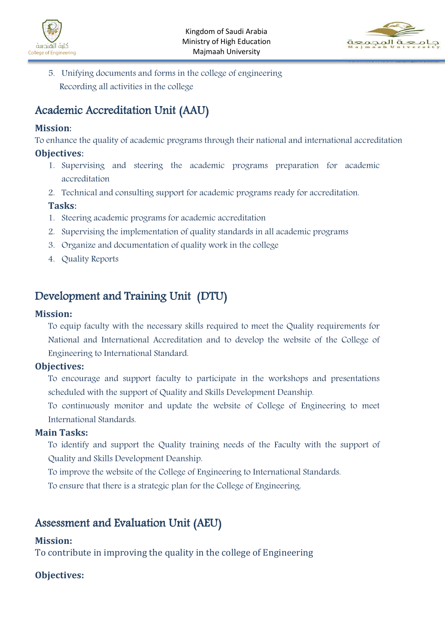



5. Unifying documents and forms in the college of engineering Recording all activities in the college

# <span id="page-7-0"></span>Academic Accreditation Unit (AAU)

#### <span id="page-7-1"></span>**Mission**:

To enhance the quality of academic programs through their national and international accreditation

#### <span id="page-7-2"></span>**Objectives**:

- 1. Supervising and steering the academic programs preparation for academic accreditation
- 2. Technical and consulting support for academic programs ready for accreditation.

#### <span id="page-7-3"></span>**Tasks**:

- 1. Steering academic programs for academic accreditation
- 2. Supervising the implementation of quality standards in all academic programs
- 3. Organize and documentation of quality work in the college
- 4. Quality Reports

# <span id="page-7-4"></span>Development and Training Unit (DTU)

#### <span id="page-7-5"></span>**Mission:**

To equip faculty with the necessary skills required to meet the Quality requirements for National and International Accreditation and to develop the website of the College of Engineering to International Standard.

#### <span id="page-7-6"></span>**Objectives:**

To encourage and support faculty to participate in the workshops and presentations scheduled with the support of Quality and Skills Development Deanship.

To continuously monitor and update the website of College of Engineering to meet International Standards.

#### <span id="page-7-7"></span>**Main Tasks:**

To identify and support the Quality training needs of the Faculty with the support of Quality and Skills Development Deanship.

To improve the website of the College of Engineering to International Standards.

To ensure that there is a strategic plan for the College of Engineering.

## <span id="page-7-8"></span>Assessment and Evaluation Unit (AEU)

#### <span id="page-7-9"></span>**Mission:**

To contribute in improving the quality in the college of Engineering

#### <span id="page-7-10"></span>**Objectives:**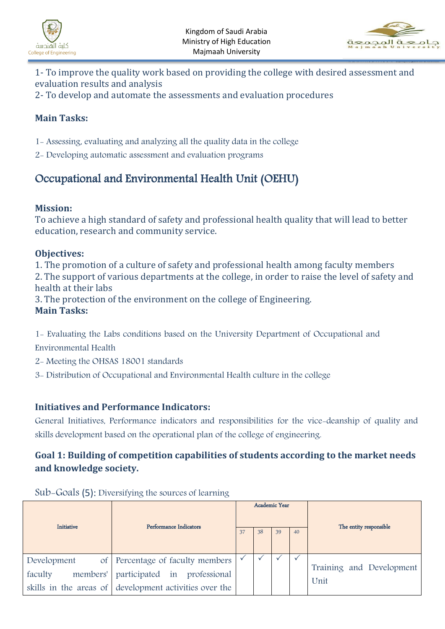



- 1- To improve the quality work based on providing the college with desired assessment and evaluation results and analysis
- 2- To develop and automate the assessments and evaluation procedures

## <span id="page-8-0"></span>**Main Tasks:**

- 1- Assessing, evaluating and analyzing all the quality data in the college
- 2- Developing automatic assessment and evaluation programs

# Occupational and Environmental Health Unit (OEHU)

#### **Mission:**

To achieve a high standard of safety and professional health quality that will lead to better education, research and community service.

#### **Objectives:**

1. The promotion of a culture of safety and professional health among faculty members 2. The support of various departments at the college, in order to raise the level of safety and health at their labs

3. The protection of the environment on the college of Engineering.

#### **Main Tasks:**

1- Evaluating the Labs conditions based on the University Department of Occupational and

Environmental Health

- 2- Meeting the OHSAS 18001 standards
- 3- Distribution of Occupational and Environmental Health culture in the college

#### <span id="page-8-1"></span>**Initiatives and Performance Indicators:**

General Initiatives, Performance indicators and responsibilities for the vice-deanship of quality and skills development based on the operational plan of the college of engineering.

## <span id="page-8-2"></span>**Goal 1: Building of competition capabilities of students according to the market needs and knowledge society.**

| Initiative                         | Performance Indicators                                                                                                     |    | Academic Year |    |    | The entity responsible           |
|------------------------------------|----------------------------------------------------------------------------------------------------------------------------|----|---------------|----|----|----------------------------------|
|                                    |                                                                                                                            | 37 | 38            | 39 | 40 |                                  |
| Development<br>faculty<br>members' | of Percentage of faculty members<br>participated in professional<br>skills in the areas of development activities over the |    |               |    |    | Training and Development<br>Unit |

Sub-Goals (5): Diversifying the sources of learning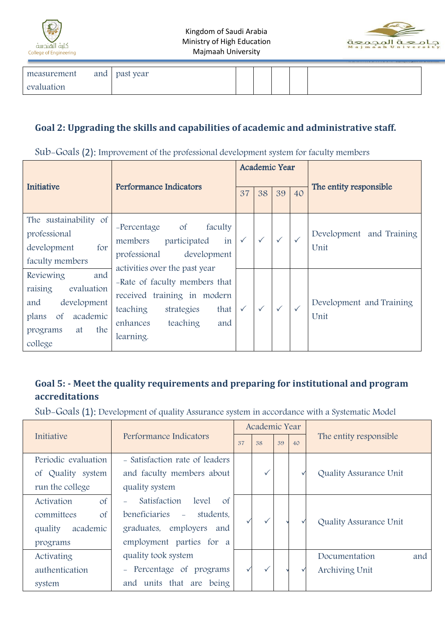



| measurement | and | past year |  |  |  |
|-------------|-----|-----------|--|--|--|
| evaluation  |     |           |  |  |  |

### <span id="page-9-0"></span>**Goal 2: Upgrading the skills and capabilities of academic and administrative staff.**

Sub-Goals (2): Improvement of the professional development system for faculty members

| Initiative                                                                                                                                | Performance Indicators                                                                                                                                                      |              | Academic Year |              |              | The entity responsible              |
|-------------------------------------------------------------------------------------------------------------------------------------------|-----------------------------------------------------------------------------------------------------------------------------------------------------------------------------|--------------|---------------|--------------|--------------|-------------------------------------|
|                                                                                                                                           |                                                                                                                                                                             |              | 38            | 39           | 40           |                                     |
| The sustainability of<br>professional<br>development<br>for<br>faculty members                                                            | faculty<br>-Percentage<br><sub>of</sub><br>in<br>members<br>participated<br>development<br>professional                                                                     |              | $\checkmark$  | $\checkmark$ |              | Development<br>and Training<br>Unit |
| and<br>Reviewing<br>raising<br>evaluation<br>development<br>and<br>academic<br>$\mathsf{of}$<br>plans<br>the<br>at<br>programs<br>college | activities over the past year<br>-Rate of faculty members that<br>received training in modern<br>teaching<br>strategies<br>that<br>teaching<br>enhances<br>and<br>learning. | $\checkmark$ | $\checkmark$  | $\checkmark$ | $\checkmark$ | Development and Training<br>Unit    |

## <span id="page-9-1"></span>**Goal 5: - Meet the quality requirements and preparing for institutional and program accreditations**

Sub-Goals (1): Development of quality Assurance system in accordance with a Systematic Model

|                            |                                        |    | Academic Year |          |  |                        |
|----------------------------|----------------------------------------|----|---------------|----------|--|------------------------|
| Initiative                 | Performance Indicators                 | 37 | 38            | 39<br>40 |  | The entity responsible |
| Periodic evaluation        | - Satisfaction rate of leaders         |    |               |          |  |                        |
| of Quality system          | and faculty members about              |    | ✓             |          |  | Quality Assurance Unit |
| run the college            | quality system                         |    |               |          |  |                        |
| $\mathbf{C}$<br>Activation | Satisfaction<br>level<br>$\mathsf{of}$ |    |               |          |  |                        |
| $\mathbf{O}$<br>committees | beneficiaries –<br>students.           |    |               |          |  |                        |
| academic<br>quality        | graduates, employers<br>and            |    |               |          |  | Quality Assurance Unit |
| programs                   | employment parties for a               |    |               |          |  |                        |
| Activating                 | quality took system                    |    |               |          |  | Documentation<br>and   |
| authentication             | - Percentage of programs               |    | $\checkmark$  |          |  | Archiving Unit         |
| system                     | and units that are being               |    |               |          |  |                        |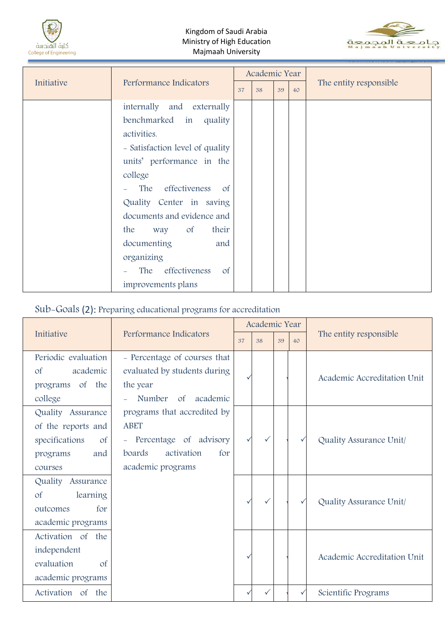



|            |                                                                                                                                                                                       |  | Academic Year |          |  |                        |
|------------|---------------------------------------------------------------------------------------------------------------------------------------------------------------------------------------|--|---------------|----------|--|------------------------|
| Initiative | Performance Indicators<br>37                                                                                                                                                          |  | 38            | 39<br>40 |  | The entity responsible |
|            | internally and externally<br>benchmarked in<br>quality<br>activities.<br>- Satisfaction level of quality<br>units' performance in the<br>college<br>- The effectiveness<br>$\circ$ of |  |               |          |  |                        |
|            | Quality Center in saving<br>documents and evidence and<br>way of<br>their<br>the<br>documenting<br>and<br>organizing<br>The effectiveness<br>$\circ$ f<br>improvements plans          |  |               |          |  |                        |

## Sub-Goals (2): Preparing educational programs for accreditation

|                                                                                                      |                                                                                                                            |    | Academic Year |    |              |                             |  |
|------------------------------------------------------------------------------------------------------|----------------------------------------------------------------------------------------------------------------------------|----|---------------|----|--------------|-----------------------------|--|
| Initiative                                                                                           | Performance Indicators                                                                                                     | 37 | 38            | 39 | 40           | The entity responsible      |  |
| Periodic evaluation<br>academic<br>$\sigma$ f<br>programs of the<br>college                          | - Percentage of courses that<br>evaluated by students during<br>the year<br>Number of academic                             |    |               |    |              | Academic Accreditation Unit |  |
| Quality Assurance<br>of the reports and<br>specifications<br>$\circ$ f<br>and<br>programs<br>courses | programs that accredited by<br><b>ABET</b><br>- Percentage of advisory<br>boards<br>activation<br>for<br>academic programs |    | ✓             |    | $\checkmark$ | Quality Assurance Unit/     |  |
| Quality Assurance<br>learning<br><sub>of</sub><br>outcomes<br>for<br>academic programs               |                                                                                                                            |    | $\checkmark$  |    | $\checkmark$ | Quality Assurance Unit/     |  |
| Activation of the<br>independent<br>evaluation<br>$\sigma$<br>academic programs                      |                                                                                                                            |    |               |    |              | Academic Accreditation Unit |  |
| Activation of the                                                                                    |                                                                                                                            |    |               |    | ✓            | Scientific Programs         |  |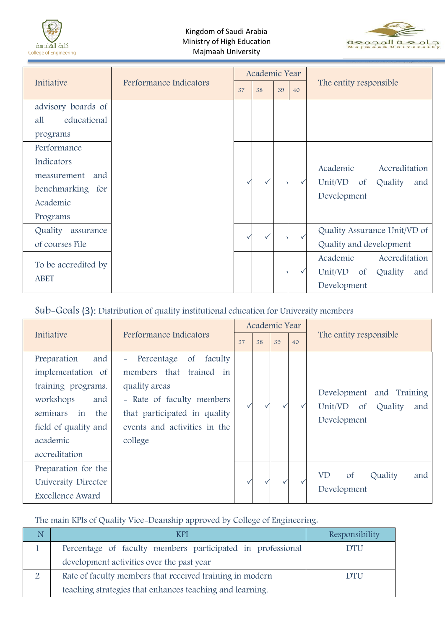



|                      |                        |    | Academic Year |    |              |                                        |  |
|----------------------|------------------------|----|---------------|----|--------------|----------------------------------------|--|
| Initiative           | Performance Indicators | 37 | 38            | 39 | 40           | The entity responsible                 |  |
| advisory boards of   |                        |    |               |    |              |                                        |  |
| educational<br>all   |                        |    |               |    |              |                                        |  |
| programs             |                        |    |               |    |              |                                        |  |
| Performance          |                        |    |               |    |              |                                        |  |
| Indicators           |                        |    |               |    |              | Academic<br>Accreditation              |  |
| and<br>measurement   |                        |    |               |    |              | Unit/VD<br>$\circ$ f                   |  |
| benchmarking for     |                        |    |               |    | $\checkmark$ | Quality<br>and                         |  |
| Academic             |                        |    |               |    |              | Development                            |  |
| Programs             |                        |    |               |    |              |                                        |  |
| Quality<br>assurance |                        |    |               |    |              | Quality Assurance Unit/VD of           |  |
| of courses File      |                        |    |               |    |              | Quality and development                |  |
| To be accredited by  |                        |    |               |    |              | Academic<br>Accreditation              |  |
|                      |                        |    |               |    |              | Unit/VD<br>Quality<br>$\circ$ f<br>and |  |
| <b>ABET</b>          |                        |    |               |    |              | Development                            |  |

## Sub-Goals (3): Distribution of quality institutional education for University members

|                                                                                                                                                                 |                                                                                                                                                                                          | Academic Year |    |    |    |                                                                                   |  |
|-----------------------------------------------------------------------------------------------------------------------------------------------------------------|------------------------------------------------------------------------------------------------------------------------------------------------------------------------------------------|---------------|----|----|----|-----------------------------------------------------------------------------------|--|
| Initiative                                                                                                                                                      | Performance Indicators                                                                                                                                                                   | 37            | 38 | 39 | 40 | The entity responsible                                                            |  |
| Preparation<br>and<br>implementation of<br>training programs,<br>workshops<br>and<br>seminars<br>in<br>the<br>field of quality and<br>academic<br>accreditation | Percentage of<br>faculty<br>$\equiv$<br>members that trained in<br>quality areas<br>- Rate of faculty members<br>that participated in quality<br>events and activities in the<br>college |               |    |    |    | Development and Training<br>Unit/VD<br>$\circ$ f<br>Quality<br>and<br>Development |  |
| Preparation for the<br>University Director<br><b>Excellence Award</b>                                                                                           |                                                                                                                                                                                          |               |    |    |    | Quality<br>$\mathsf{of}$<br>VD<br>and<br>Development                              |  |

The main KPIs of Quality Vice-Deanship approved by College of Engineering:

| <b>KPI</b>                                                 | Responsibility |
|------------------------------------------------------------|----------------|
| Percentage of faculty members participated in professional | DTU            |
| development activities over the past year                  |                |
| Rate of faculty members that received training in modern   | DTH            |
| teaching strategies that enhances teaching and learning.   |                |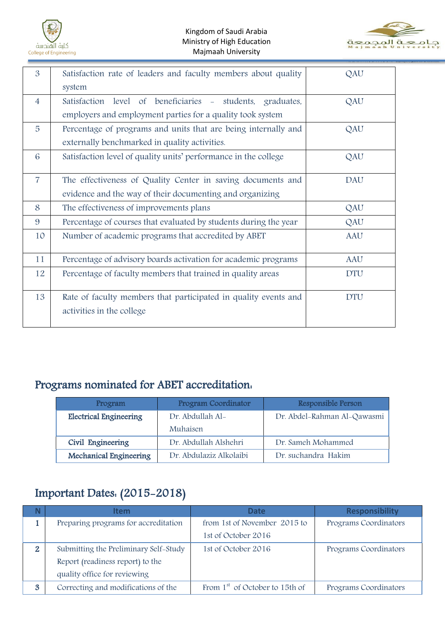



| 3              | Satisfaction rate of leaders and faculty members about quality   | QAU        |
|----------------|------------------------------------------------------------------|------------|
|                |                                                                  |            |
|                | system                                                           |            |
| $\overline{4}$ | Satisfaction level of beneficiaries - students, graduates,       | QAU        |
|                | employers and employment parties for a quality took system       |            |
| 5              | Percentage of programs and units that are being internally and   | QAU        |
|                | externally benchmarked in quality activities.                    |            |
| $\overline{6}$ | Satisfaction level of quality units' performance in the college  | QAU        |
|                |                                                                  |            |
| $\overline{7}$ | The effectiveness of Quality Center in saving documents and      | <b>DAU</b> |
|                | evidence and the way of their documenting and organizing         |            |
| 8              | The effectiveness of improvements plans                          | QAU        |
| 9              | Percentage of courses that evaluated by students during the year | QAU        |
| 10             | Number of academic programs that accredited by ABET              | <b>AAU</b> |
|                |                                                                  |            |
| 11             | Percentage of advisory boards activation for academic programs   | <b>AAU</b> |
| 12             | Percentage of faculty members that trained in quality areas      | <b>DTU</b> |
|                |                                                                  |            |
| 13             | Rate of faculty members that participated in quality events and  | <b>DTU</b> |
|                | activities in the college                                        |            |
|                |                                                                  |            |

# <span id="page-12-0"></span>Programs nominated for ABET accreditation:

| Program                       | <b>Program Coordinator</b> | Responsible Person          |
|-------------------------------|----------------------------|-----------------------------|
| <b>Electrical Engineering</b> | Dr. Abdullah Al-           | Dr. Abdel-Rahman Al-Qawasmi |
|                               | Muhaisen                   |                             |
| Civil Engineering             | Dr. Abdullah Alshehri      | Dr. Sameh Mohammed          |
| <b>Mechanical Engineering</b> | Dr. Abdulaziz Alkolaibi    | Dr. suchandra Hakim         |

# <span id="page-12-1"></span>Important Dates: (2015-2018)

|                  | ltem                                  | <b>Date</b>                      | <b>Responsibility</b> |  |  |
|------------------|---------------------------------------|----------------------------------|-----------------------|--|--|
|                  | Preparing programs for accreditation  | from 1st of November 2015 to     | Programs Coordinators |  |  |
|                  |                                       | 1st of October 2016              |                       |  |  |
| $\mathbf{2}$     | Submitting the Preliminary Self-Study | 1st of October 2016              | Programs Coordinators |  |  |
|                  | Report (readiness report) to the      |                                  |                       |  |  |
|                  | quality office for reviewing          |                                  |                       |  |  |
| $\boldsymbol{3}$ | Correcting and modifications of the   | From $1st$ of October to 15th of | Programs Coordinators |  |  |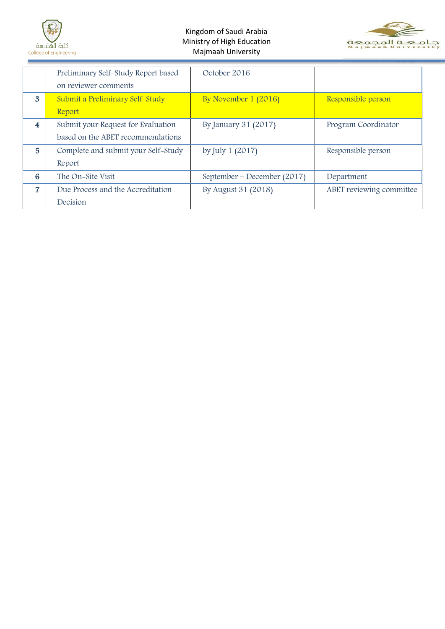



|                         | Preliminary Self-Study Report based<br>on reviewer comments | October 2016                |                          |
|-------------------------|-------------------------------------------------------------|-----------------------------|--------------------------|
| $\mathbf{3}$            | Submit a Preliminary Self-Study                             | By November 1 (2016)        | Responsible person       |
|                         | Report                                                      |                             |                          |
| $\overline{\mathbf{4}}$ | Submit your Request for Evaluation                          | By January 31 (2017)        | Program Coordinator      |
|                         | based on the ABET recommendations                           |                             |                          |
| $\overline{5}$          | Complete and submit your Self-Study                         | by July $1(2017)$           | Responsible person       |
|                         | Report                                                      |                             |                          |
| 6                       | The On–Site Visit                                           | September – December (2017) | Department               |
| $\overline{7}$          | Due Process and the Accreditation                           | By August 31 (2018)         | ABET reviewing committee |
|                         | Decision                                                    |                             |                          |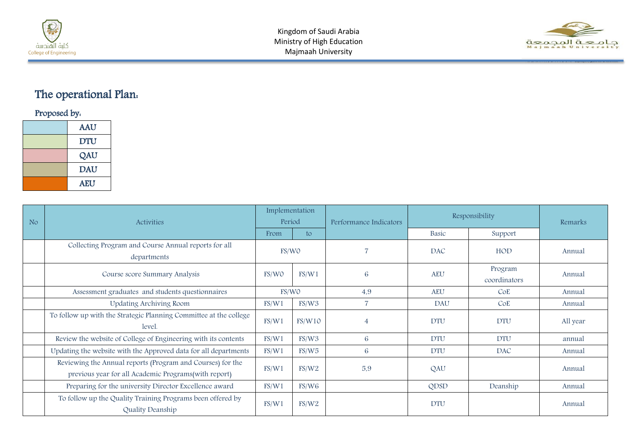



# The operational Plan:

Proposed by:

| <b>AAU</b> |
|------------|
| <b>DTU</b> |
| QAU        |
| <b>DAU</b> |
| <b>AEU</b> |

<span id="page-14-0"></span>

| N <sub>o</sub> | Activities                                                                                                         | Implementation<br>Period |        | Performance Indicators | Responsibility |                         | Remarks  |
|----------------|--------------------------------------------------------------------------------------------------------------------|--------------------------|--------|------------------------|----------------|-------------------------|----------|
|                |                                                                                                                    | From                     | to     |                        | Basic          | Support                 |          |
|                | Collecting Program and Course Annual reports for all<br>departments                                                | FS/WO                    |        |                        | <b>DAC</b>     | HOD                     | Annual   |
|                | Course score Summary Analysis                                                                                      | FS/WO                    | FS/W1  | 6                      | <b>AEU</b>     | Program<br>coordinators | Annual   |
|                | Assessment graduates and students questionnaires                                                                   | FS/WO                    |        | 4,9                    | <b>AEU</b>     | CoE                     | Annual   |
|                | Updating Archiving Room                                                                                            | FS/W1                    | FS/W3  | $\overline{7}$         | <b>DAU</b>     | CoE                     | Annual   |
|                | To follow up with the Strategic Planning Committee at the college<br>level.                                        | FS/W1                    | FS/W10 | $\overline{4}$         | <b>DTU</b>     | <b>DTU</b>              | All year |
|                | Review the website of College of Engineering with its contents                                                     | FS/W1                    | FS/W3  | 6                      | <b>DTU</b>     | <b>DTU</b>              | annual   |
|                | Updating the website with the Approved data for all departments                                                    | FS/W1                    | FS/W5  | 6                      | <b>DTU</b>     | DAC                     | Annual   |
|                | Reviewing the Annual reports (Program and Courses) for the<br>previous year for all Academic Programs(with report) | FS/W1                    | FS/W2  | 5,9                    | QAU            |                         | Annual   |
|                | Preparing for the university Director Excellence award                                                             | FS/W1                    | FS/W6  |                        | QDSD           | Deanship                | Annual   |
|                | To follow up the Quality Training Programs been offered by<br>Quality Deanship                                     | FS/W1                    | FS/W2  |                        | <b>DTU</b>     |                         | Annual   |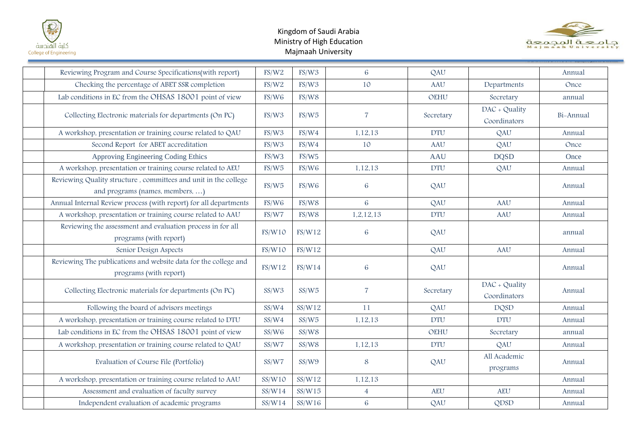



| Reviewing Program and Course Specifications(with report)                                           | FS/W2  | FS/W3  | 6              | QAU         |                               | Annual    |
|----------------------------------------------------------------------------------------------------|--------|--------|----------------|-------------|-------------------------------|-----------|
| Checking the percentage of ABET SSR completion                                                     | FS/W2  | FS/W3  | 10             | <b>AAU</b>  | Departments                   | Once      |
| Lab conditions in EC from the OHSAS 18001 point of view                                            | FS/W6  | FS/W8  |                | <b>OEHU</b> | Secretary                     | annual    |
| Collecting Electronic materials for departments (On PC)                                            | FS/W3  | FS/W5  | $\overline{7}$ | Secretary   | DAC + Quality<br>Coordinators | Bi-Annual |
| A workshop, presentation or training course related to QAU                                         | FS/W3  | FS/W4  | 1,12,13        | <b>DTU</b>  | QAU                           | Annual    |
| Second Report for ABET accreditation                                                               | FS/W3  | FS/W4  | 10             | AAU         | QAU                           | Once      |
| Approving Engineering Coding Ethics                                                                | FS/W3  | FS/W5  |                | <b>AAU</b>  | <b>DQSD</b>                   | Once      |
| A workshop, presentation or training course related to AEU                                         | FS/W5  | FS/W6  | 1,12,13        | <b>DTU</b>  | QAU                           | Annual    |
| Reviewing Quality structure, committees and unit in the college<br>and programs (names, members, ) | FS/W5  | FS/W6  | 6              | QAU         |                               | Annual    |
| Annual Internal Review process (with report) for all departments                                   | FS/W6  | FS/W8  | 6              | QAU         | <b>AAU</b>                    | Annual    |
| A workshop, presentation or training course related to AAU                                         | FS/W7  | FS/W8  | 1,2,12,13      | <b>DTU</b>  | <b>AAU</b>                    | Annual    |
| Reviewing the assessment and evaluation process in for all<br>programs (with report)               | FS/W10 | FS/W12 | 6              | QAU         |                               | annual    |
| Senior Design Aspects                                                                              | FS/W10 | FS/W12 |                | QAU         | <b>AAU</b>                    | Annual    |
| Reviewing The publications and website data for the college and<br>programs (with report)          | FS/W12 | FS/W14 | 6              | QAU         |                               | Annual    |
| Collecting Electronic materials for departments (On PC)                                            | SS/W3  | SS/W5  | $\overline{7}$ | Secretary   | DAC + Quality<br>Coordinators | Annual    |
| Following the board of advisors meetings                                                           | SS/W4  | SS/W12 | 11             | QAU         | <b>DQSD</b>                   | Annual    |
| A workshop, presentation or training course related to DTU                                         | SS/W4  | SS/W5  | 1,12,13        | <b>DTU</b>  | <b>DTU</b>                    | Annual    |
| Lab conditions in EC from the OHSAS 18001 point of view                                            | SS/W6  | SS/W8  |                | <b>OEHU</b> | Secretary                     | annual    |
| A workshop, presentation or training course related to QAU                                         | SS/W7  | SS/W8  | 1,12,13        | <b>DTU</b>  | QAU                           | Annual    |
| Evaluation of Course File (Portfolio)                                                              | SS/W7  | SS/W9  | 8              | QAU         | All Academic<br>programs      | Annual    |
| A workshop, presentation or training course related to AAU                                         | SS/W10 | SS/W12 | 1,12,13        |             |                               | Annual    |
| Assessment and evaluation of faculty survey                                                        | SS/W14 | SS/W15 | $\overline{4}$ | <b>AEU</b>  | <b>AEU</b>                    | Annual    |
| Independent evaluation of academic programs                                                        | SS/W14 | SS/W16 | 6              | QAU         | QDSD                          | Annual    |